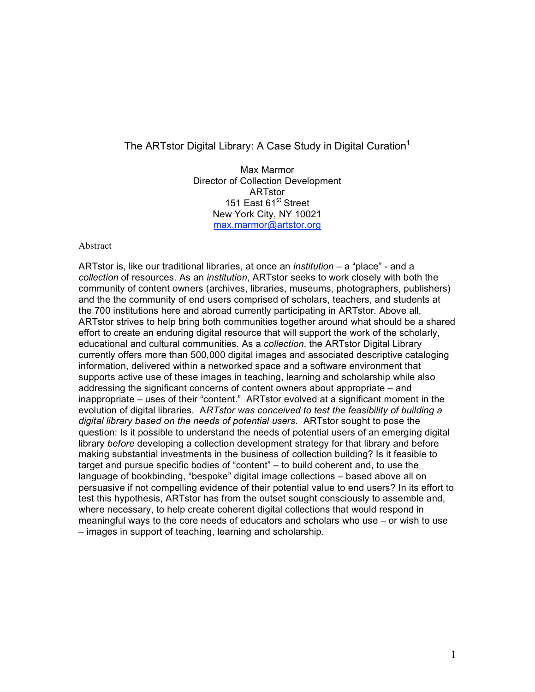# The ARTstor Digital Library: A Case Study in Digital Curation<sup>1</sup>

Max Marmor Director of Collection Development ARTstor 151 East 61<sup>st</sup> Street New York City, NY 10021 max.marmor@artstor.org

#### Abstract

ARTstor is, like our traditional libraries, at once an *institution* – a "place" *-* and a *collection* of resources. As an *institution*, ARTstor seeks to work closely with both the community of content owners (archives, libraries, museums, photographers, publishers) and the the community of end users comprised of scholars, teachers, and students at the 700 institutions here and abroad currently participating in ARTstor. Above all, ARTstor strives to help bring both communities together around what should be a shared effort to create an enduring digital resource that will support the work of the scholarly, educational and cultural communities. As a *collection*, the ARTstor Digital Library currently offers more than 500,000 digital images and associated descriptive cataloging information, delivered within a networked space and a software environment that supports active use of these images in teaching, learning and scholarship while also addressing the significant concerns of content owners about appropriate – and inappropriate – uses of their "content." ARTstor evolved at a significant moment in the evolution of digital libraries. A*RTstor was conceived to test the feasibility of building a digital library based on the needs of potential users*. ARTstor sought to pose the question: Is it possible to understand the needs of potential users of an emerging digital library *before* developing a collection development strategy for that library and before making substantial investments in the business of collection building? Is it feasible to target and pursue specific bodies of "content" – to build coherent and, to use the language of bookbinding, "bespoke" digital image collections – based above all on persuasive if not compelling evidence of their potential value to end users? In its effort to test this hypothesis, ARTstor has from the outset sought consciously to assemble and, where necessary, to help create coherent digital collections that would respond in meaningful ways to the core needs of educators and scholars who use – or wish to use – images in support of teaching, learning and scholarship.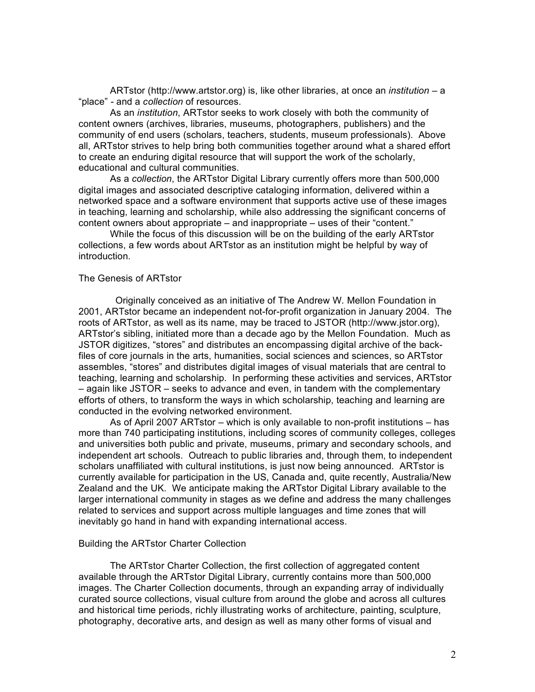ARTstor (http://www.artstor.org) is, like other libraries, at once an *institution* – a "place" *-* and a *collection* of resources.

As an *institution*, ARTstor seeks to work closely with both the community of content owners (archives, libraries, museums, photographers, publishers) and the community of end users (scholars, teachers, students, museum professionals). Above all, ARTstor strives to help bring both communities together around what a shared effort to create an enduring digital resource that will support the work of the scholarly, educational and cultural communities.

As a *collection*, the ARTstor Digital Library currently offers more than 500,000 digital images and associated descriptive cataloging information, delivered within a networked space and a software environment that supports active use of these images in teaching, learning and scholarship, while also addressing the significant concerns of content owners about appropriate – and inappropriate – uses of their "content."

While the focus of this discussion will be on the building of the early ARTstor collections, a few words about ARTstor as an institution might be helpful by way of introduction.

### The Genesis of ARTstor

Originally conceived as an initiative of The Andrew W. Mellon Foundation in 2001, ARTstor became an independent not-for-profit organization in January 2004. The roots of ARTstor, as well as its name, may be traced to JSTOR (http://www.jstor.org), ARTstor's sibling, initiated more than a decade ago by the Mellon Foundation. Much as JSTOR digitizes, "stores" and distributes an encompassing digital archive of the backfiles of core journals in the arts, humanities, social sciences and sciences, so ARTstor assembles, "stores" and distributes digital images of visual materials that are central to teaching, learning and scholarship. In performing these activities and services, ARTstor – again like JSTOR – seeks to advance and even, in tandem with the complementary efforts of others, to transform the ways in which scholarship, teaching and learning are conducted in the evolving networked environment.

As of April 2007 ARTstor – which is only available to non-profit institutions – has more than 740 participating institutions, including scores of community colleges, colleges and universities both public and private, museums, primary and secondary schools, and independent art schools. Outreach to public libraries and, through them, to independent scholars unaffiliated with cultural institutions, is just now being announced. ARTstor is currently available for participation in the US, Canada and, quite recently, Australia/New Zealand and the UK. We anticipate making the ARTstor Digital Library available to the larger international community in stages as we define and address the many challenges related to services and support across multiple languages and time zones that will inevitably go hand in hand with expanding international access.

#### Building the ARTstor Charter Collection

The ARTstor Charter Collection, the first collection of aggregated content available through the ARTstor Digital Library, currently contains more than 500,000 images. The Charter Collection documents, through an expanding array of individually curated source collections, visual culture from around the globe and across all cultures and historical time periods, richly illustrating works of architecture, painting, sculpture, photography, decorative arts, and design as well as many other forms of visual and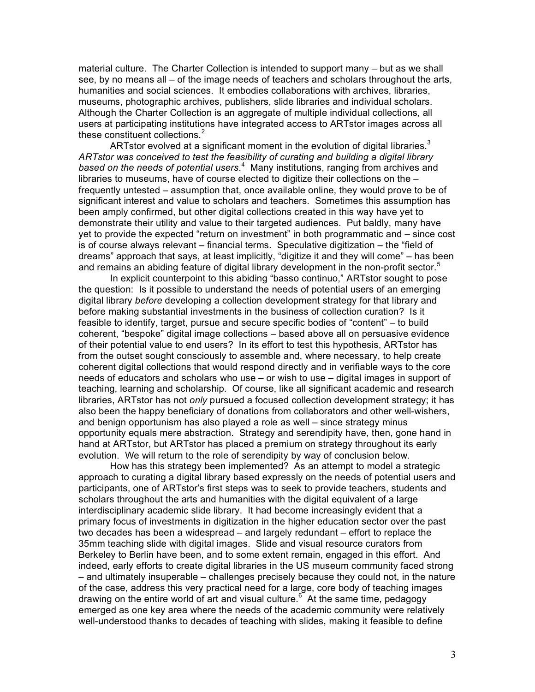material culture. The Charter Collection is intended to support many – but as we shall see, by no means all – of the image needs of teachers and scholars throughout the arts, humanities and social sciences. It embodies collaborations with archives, libraries, museums, photographic archives, publishers, slide libraries and individual scholars. Although the Charter Collection is an aggregate of multiple individual collections, all users at participating institutions have integrated access to ARTstor images across all these constituent collections. 2

ARTstor evolved at a significant moment in the evolution of digital libraries.<sup>3</sup> *ARTstor was conceived to test the feasibility of curating and building a digital library based on the needs of potential users*. <sup>4</sup> Many institutions, ranging from archives and libraries to museums, have of course elected to digitize their collections on the – frequently untested – assumption that, once available online, they would prove to be of significant interest and value to scholars and teachers. Sometimes this assumption has been amply confirmed, but other digital collections created in this way have yet to demonstrate their utility and value to their targeted audiences. Put baldly, many have yet to provide the expected "return on investment" in both programmatic and – since cost is of course always relevant – financial terms. Speculative digitization – the "field of dreams" approach that says, at least implicitly, "digitize it and they will come" – has been and remains an abiding feature of digital library development in the non-profit sector.<sup>5</sup>

In explicit counterpoint to this abiding "basso continuo," ARTstor sought to pose the question: Is it possible to understand the needs of potential users of an emerging digital library *before* developing a collection development strategy for that library and before making substantial investments in the business of collection curation? Is it feasible to identify, target, pursue and secure specific bodies of "content" – to build coherent, "bespoke" digital image collections – based above all on persuasive evidence of their potential value to end users? In its effort to test this hypothesis, ARTstor has from the outset sought consciously to assemble and, where necessary, to help create coherent digital collections that would respond directly and in verifiable ways to the core needs of educators and scholars who use – or wish to use – digital images in support of teaching, learning and scholarship. Of course, like all significant academic and research libraries, ARTstor has not *only* pursued a focused collection development strategy; it has also been the happy beneficiary of donations from collaborators and other well-wishers, and benign opportunism has also played a role as well – since strategy minus opportunity equals mere abstraction. Strategy and serendipity have, then, gone hand in hand at ARTstor, but ARTstor has placed a premium on strategy throughout its early evolution. We will return to the role of serendipity by way of conclusion below.

How has this strategy been implemented? As an attempt to model a strategic approach to curating a digital library based expressly on the needs of potential users and participants, one of ARTstor's first steps was to seek to provide teachers, students and scholars throughout the arts and humanities with the digital equivalent of a large interdisciplinary academic slide library. It had become increasingly evident that a primary focus of investments in digitization in the higher education sector over the past two decades has been a widespread – and largely redundant – effort to replace the 35mm teaching slide with digital images. Slide and visual resource curators from Berkeley to Berlin have been, and to some extent remain, engaged in this effort. And indeed, early efforts to create digital libraries in the US museum community faced strong – and ultimately insuperable – challenges precisely because they could not, in the nature of the case, address this very practical need for a large, core body of teaching images drawing on the entire world of art and visual culture.<sup>6</sup> At the same time, pedagogy emerged as one key area where the needs of the academic community were relatively well-understood thanks to decades of teaching with slides, making it feasible to define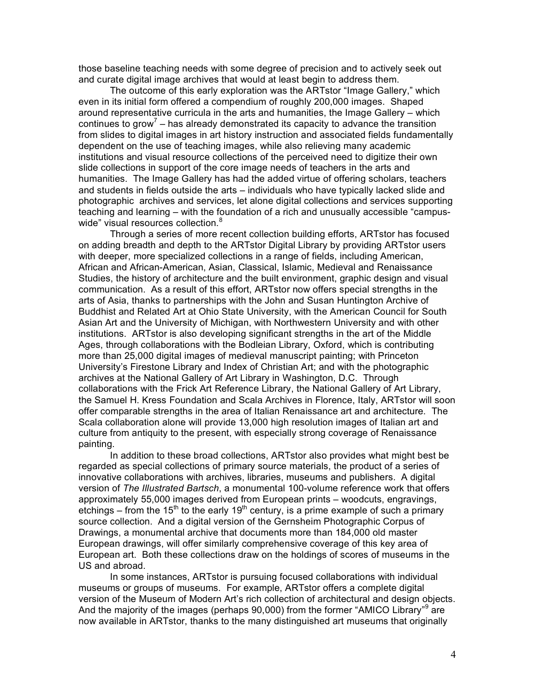those baseline teaching needs with some degree of precision and to actively seek out and curate digital image archives that would at least begin to address them.

The outcome of this early exploration was the ARTstor "Image Gallery," which even in its initial form offered a compendium of roughly 200,000 images. Shaped around representative curricula in the arts and humanities, the Image Gallery – which continues to grow<sup>7</sup> – has already demonstrated its capacity to advance the transition from slides to digital images in art history instruction and associated fields fundamentally dependent on the use of teaching images, while also relieving many academic institutions and visual resource collections of the perceived need to digitize their own slide collections in support of the core image needs of teachers in the arts and humanities. The Image Gallery has had the added virtue of offering scholars, teachers and students in fields outside the arts – individuals who have typically lacked slide and photographic archives and services, let alone digital collections and services supporting teaching and learning – with the foundation of a rich and unusually accessible "campuswide" visual resources collection.<sup>8</sup>

Through a series of more recent collection building efforts, ARTstor has focused on adding breadth and depth to the ARTstor Digital Library by providing ARTstor users with deeper, more specialized collections in a range of fields, including American, African and African-American, Asian, Classical, Islamic, Medieval and Renaissance Studies, the history of architecture and the built environment, graphic design and visual communication. As a result of this effort, ARTstor now offers special strengths in the arts of Asia, thanks to partnerships with the John and Susan Huntington Archive of Buddhist and Related Art at Ohio State University, with the American Council for South Asian Art and the University of Michigan, with Northwestern University and with other institutions. ARTstor is also developing significant strengths in the art of the Middle Ages, through collaborations with the Bodleian Library, Oxford, which is contributing more than 25,000 digital images of medieval manuscript painting; with Princeton University's Firestone Library and Index of Christian Art; and with the photographic archives at the National Gallery of Art Library in Washington, D.C. Through collaborations with the Frick Art Reference Library, the National Gallery of Art Library, the Samuel H. Kress Foundation and Scala Archives in Florence, Italy, ARTstor will soon offer comparable strengths in the area of Italian Renaissance art and architecture. The Scala collaboration alone will provide 13,000 high resolution images of Italian art and culture from antiquity to the present, with especially strong coverage of Renaissance painting.

In addition to these broad collections, ARTstor also provides what might best be regarded as special collections of primary source materials, the product of a series of innovative collaborations with archives, libraries, museums and publishers. A digital version of *The Illustrated Bartsch*, a monumental 100-volume reference work that offers approximately 55,000 images derived from European prints – woodcuts, engravings, etchings – from the 15<sup>th</sup> to the early 19<sup>th</sup> century, is a prime example of such a primary source collection. And a digital version of the Gernsheim Photographic Corpus of Drawings, a monumental archive that documents more than 184,000 old master European drawings, will offer similarly comprehensive coverage of this key area of European art. Both these collections draw on the holdings of scores of museums in the US and abroad.

In some instances, ARTstor is pursuing focused collaborations with individual museums or groups of museums. For example, ARTstor offers a complete digital version of the Museum of Modern Art's rich collection of architectural and design objects. And the majority of the images (perhaps 90,000) from the former "AMICO Library"<sup>9</sup> are now available in ARTstor, thanks to the many distinguished art museums that originally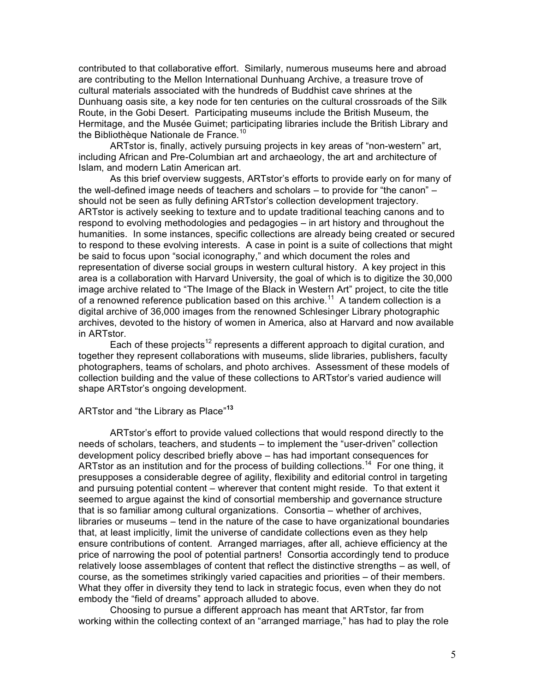contributed to that collaborative effort. Similarly, numerous museums here and abroad are contributing to the Mellon International Dunhuang Archive, a treasure trove of cultural materials associated with the hundreds of Buddhist cave shrines at the Dunhuang oasis site, a key node for ten centuries on the cultural crossroads of the Silk Route, in the Gobi Desert. Participating museums include the British Museum, the Hermitage, and the Musée Guimet; participating libraries include the British Library and the Bibliothèque Nationale de France.<sup>10</sup>

ARTstor is, finally, actively pursuing projects in key areas of "non-western" art, including African and Pre-Columbian art and archaeology, the art and architecture of Islam, and modern Latin American art.

As this brief overview suggests, ARTstor's efforts to provide early on for many of the well-defined image needs of teachers and scholars – to provide for "the canon" – should not be seen as fully defining ARTstor's collection development trajectory. ARTstor is actively seeking to texture and to update traditional teaching canons and to respond to evolving methodologies and pedagogies – in art history and throughout the humanities. In some instances, specific collections are already being created or secured to respond to these evolving interests. A case in point is a suite of collections that might be said to focus upon "social iconography," and which document the roles and representation of diverse social groups in western cultural history. A key project in this area is a collaboration with Harvard University, the goal of which is to digitize the 30,000 image archive related to "The Image of the Black in Western Art" project, to cite the title of a renowned reference publication based on this archive.<sup>11</sup> A tandem collection is a digital archive of 36,000 images from the renowned Schlesinger Library photographic archives, devoted to the history of women in America, also at Harvard and now available in ARTstor.

 $\overline{E}$  Each of these projects<sup>12</sup> represents a different approach to digital curation, and together they represent collaborations with museums, slide libraries, publishers, faculty photographers, teams of scholars, and photo archives. Assessment of these models of collection building and the value of these collections to ARTstor's varied audience will shape ARTstor's ongoing development.

## ARTstor and "the Library as Place" **13**

ARTstor's effort to provide valued collections that would respond directly to the needs of scholars, teachers, and students – to implement the "user-driven" collection development policy described briefly above – has had important consequences for ARTstor as an institution and for the process of building collections.<sup>14</sup> For one thing, it presupposes a considerable degree of agility, flexibility and editorial control in targeting and pursuing potential content – wherever that content might reside. To that extent it seemed to argue against the kind of consortial membership and governance structure that is so familiar among cultural organizations. Consortia – whether of archives, libraries or museums – tend in the nature of the case to have organizational boundaries that, at least implicitly, limit the universe of candidate collections even as they help ensure contributions of content. Arranged marriages, after all, achieve efficiency at the price of narrowing the pool of potential partners! Consortia accordingly tend to produce relatively loose assemblages of content that reflect the distinctive strengths – as well, of course, as the sometimes strikingly varied capacities and priorities – of their members. What they offer in diversity they tend to lack in strategic focus, even when they do not embody the "field of dreams" approach alluded to above.

Choosing to pursue a different approach has meant that ARTstor, far from working within the collecting context of an "arranged marriage," has had to play the role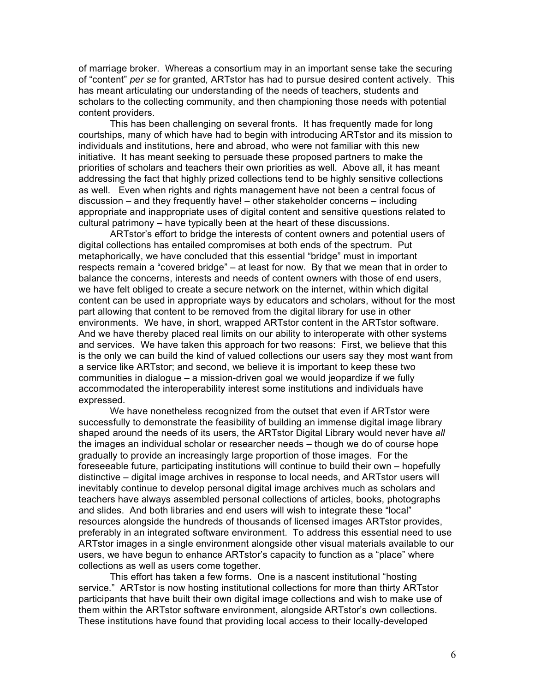of marriage broker. Whereas a consortium may in an important sense take the securing of "content" *per se* for granted, ARTstor has had to pursue desired content actively. This has meant articulating our understanding of the needs of teachers, students and scholars to the collecting community, and then championing those needs with potential content providers.

This has been challenging on several fronts. It has frequently made for long courtships, many of which have had to begin with introducing ARTstor and its mission to individuals and institutions, here and abroad, who were not familiar with this new initiative. It has meant seeking to persuade these proposed partners to make the priorities of scholars and teachers their own priorities as well. Above all, it has meant addressing the fact that highly prized collections tend to be highly sensitive collections as well. Even when rights and rights management have not been a central focus of discussion – and they frequently have! – other stakeholder concerns – including appropriate and inappropriate uses of digital content and sensitive questions related to cultural patrimony – have typically been at the heart of these discussions.

ARTstor's effort to bridge the interests of content owners and potential users of digital collections has entailed compromises at both ends of the spectrum. Put metaphorically, we have concluded that this essential "bridge" must in important respects remain a "covered bridge" – at least for now. By that we mean that in order to balance the concerns, interests and needs of content owners with those of end users, we have felt obliged to create a secure network on the internet, within which digital content can be used in appropriate ways by educators and scholars, without for the most part allowing that content to be removed from the digital library for use in other environments. We have, in short, wrapped ARTstor content in the ARTstor software. And we have thereby placed real limits on our ability to interoperate with other systems and services. We have taken this approach for two reasons: First, we believe that this is the only we can build the kind of valued collections our users say they most want from a service like ARTstor; and second, we believe it is important to keep these two communities in dialogue – a mission-driven goal we would jeopardize if we fully accommodated the interoperability interest some institutions and individuals have expressed.

We have nonetheless recognized from the outset that even if ARTstor were successfully to demonstrate the feasibility of building an immense digital image library shaped around the needs of its users, the ARTstor Digital Library would never have *all* the images an individual scholar or researcher needs – though we do of course hope gradually to provide an increasingly large proportion of those images. For the foreseeable future, participating institutions will continue to build their own – hopefully distinctive – digital image archives in response to local needs, and ARTstor users will inevitably continue to develop personal digital image archives much as scholars and teachers have always assembled personal collections of articles, books, photographs and slides. And both libraries and end users will wish to integrate these "local" resources alongside the hundreds of thousands of licensed images ARTstor provides, preferably in an integrated software environment. To address this essential need to use ARTstor images in a single environment alongside other visual materials available to our users, we have begun to enhance ARTstor's capacity to function as a "place" where collections as well as users come together.

This effort has taken a few forms. One is a nascent institutional "hosting service." ARTstor is now hosting institutional collections for more than thirty ARTstor participants that have built their own digital image collections and wish to make use of them within the ARTstor software environment, alongside ARTstor's own collections. These institutions have found that providing local access to their locally-developed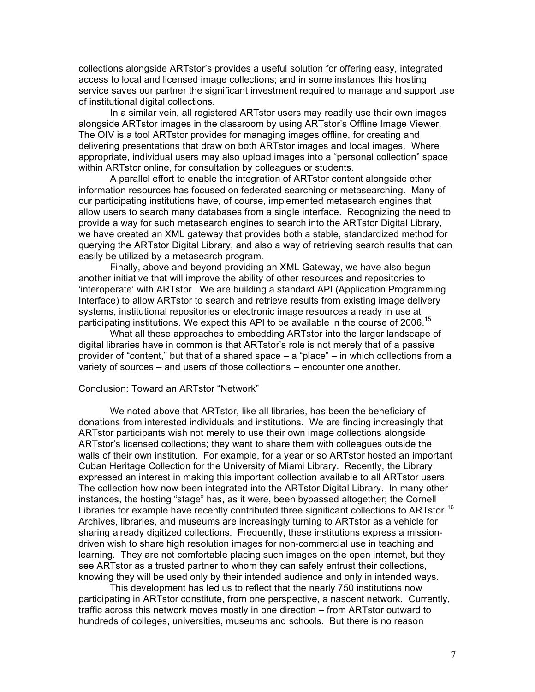collections alongside ARTstor's provides a useful solution for offering easy, integrated access to local and licensed image collections; and in some instances this hosting service saves our partner the significant investment required to manage and support use of institutional digital collections.

In a similar vein, all registered ARTstor users may readily use their own images alongside ARTstor images in the classroom by using ARTstor's Offline Image Viewer. The OIV is a tool ARTstor provides for managing images offline, for creating and delivering presentations that draw on both ARTstor images and local images. Where appropriate, individual users may also upload images into a "personal collection" space within ARTstor online, for consultation by colleagues or students.

A parallel effort to enable the integration of ARTstor content alongside other information resources has focused on federated searching or metasearching. Many of our participating institutions have, of course, implemented metasearch engines that allow users to search many databases from a single interface. Recognizing the need to provide a way for such metasearch engines to search into the ARTstor Digital Library, we have created an XML gateway that provides both a stable, standardized method for querying the ARTstor Digital Library, and also a way of retrieving search results that can easily be utilized by a metasearch program.

Finally, above and beyond providing an XML Gateway, we have also begun another initiative that will improve the ability of other resources and repositories to 'interoperate' with ARTstor. We are building a standard API (Application Programming Interface) to allow ARTstor to search and retrieve results from existing image delivery systems, institutional repositories or electronic image resources already in use at participating institutions. We expect this API to be available in the course of 2006.<sup>15</sup>

What all these approaches to embedding ARTstor into the larger landscape of digital libraries have in common is that ARTstor's role is not merely that of a passive provider of "content," but that of a shared space – a "place" – in which collections from a variety of sources – and users of those collections – encounter one another.

### Conclusion: Toward an ARTstor "Network"

We noted above that ARTstor, like all libraries, has been the beneficiary of donations from interested individuals and institutions. We are finding increasingly that ARTstor participants wish not merely to use their own image collections alongside ARTstor's licensed collections; they want to share them with colleagues outside the walls of their own institution. For example, for a year or so ARTstor hosted an important Cuban Heritage Collection for the University of Miami Library. Recently, the Library expressed an interest in making this important collection available to all ARTstor users. The collection how now been integrated into the ARTstor Digital Library. In many other instances, the hosting "stage" has, as it were, been bypassed altogether; the Cornell Libraries for example have recently contributed three significant collections to ARTstor.<sup>16</sup> Archives, libraries, and museums are increasingly turning to ARTstor as a vehicle for sharing already digitized collections. Frequently, these institutions express a missiondriven wish to share high resolution images for non-commercial use in teaching and learning. They are not comfortable placing such images on the open internet, but they see ARTstor as a trusted partner to whom they can safely entrust their collections, knowing they will be used only by their intended audience and only in intended ways.

This development has led us to reflect that the nearly 750 institutions now participating in ARTstor constitute, from one perspective, a nascent network. Currently, traffic across this network moves mostly in one direction – from ARTstor outward to hundreds of colleges, universities, museums and schools. But there is no reason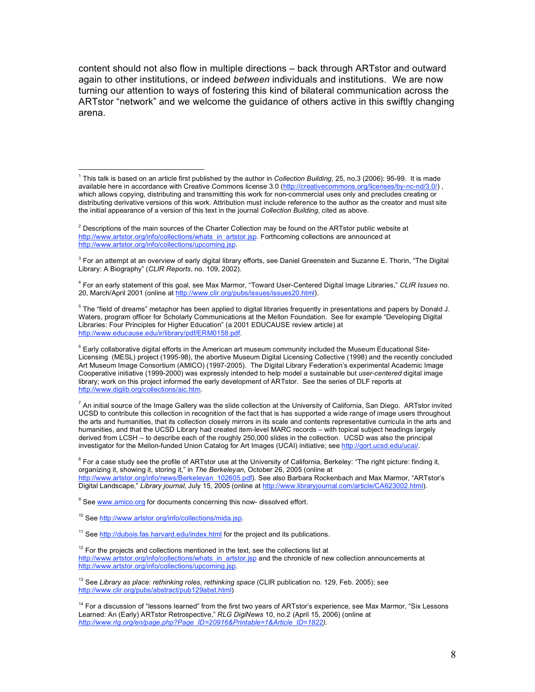content should not also flow in multiple directions – back through ARTstor and outward again to other institutions, or indeed *between* individuals and institutions. We are now turning our attention to ways of fostering this kind of bilateral communication across the ARTstor "network" and we welcome the guidance of others active in this swiftly changing arena.

<sup>3</sup> For an attempt at an overview of early digital library efforts, see Daniel Greenstein and Suzanne E. Thorin, "The Digital Library: A Biography" (*CLIR Reports*, no. 109, 2002).

<sup>4</sup> For an early statement of this goal, see Max Marmor, "Toward User-Centered Digital Image Libraries," *CLIR Issues* no. 20, March/April 2001 (online at http://www.clir.org/pubs/issues/issues20.html).

<sup>5</sup> The "field of dreams" metaphor has been applied to digital libraries frequently in presentations and papers by Donald J. Waters, program officer for Scholarly Communications at the Mellon Foundation. See for example "Developing Digital Libraries: Four Principles for Higher Education" (a 2001 EDUCAUSE review article) at http://www.educause.edu/ir/library/pdf/ERM0158.pdf.

 $6$  Early collaborative digital efforts in the American art museum community included the Museum Educational Site-Licensing (MESL) project (1995-98), the abortive Museum Digital Licensing Collective (1998) and the recently concluded Art Museum Image Consortium (AMICO) (1997-2005). The Digital Library Federation's experimental Academic Image Cooperative initiative (1999-2000) was expressly intended to help model a sustainable but *user-centered* digital image library; work on this project informed the early development of ARTstor. See the series of DLF reports at http://www.diglib.org/collections/aic.htm.

 $^7$  An initial source of the Image Gallery was the slide collection at the University of California, San Diego. ARTstor invited UCSD to contribute this collection in recognition of the fact that is has supported a wide range of image users throughout the arts and humanities, that its collection closely mirrors in its scale and contents representative curricula in the arts and humanities, and that the UCSD Library had created item-level MARC records – with topical subject headings largely derived from LCSH – to describe each of the roughly 250,000 slides in the collection. UCSD was also the principal investigator for the Mellon-funded Union Catalog for Art Images (UCAI) initiative; see http://gort.ucsd.edu/ucai/.

<sup>8</sup> For a case study see the profile of ARTstor use at the University of California, Berkeley: "The right picture: finding it, organizing it, showing it, storing it," in *The Berkeleyan*, October 26, 2005 (online at http://www.artstor.org/info/news/Berkeleyan\_102605.pdf). See also Barbara Rockenbach and Max Marmor, "ARTstor's Digital Landscape," *Library journal*, July 15, 2005 (online at http://www.libraryjournal.com/article/CA623002.html).

<sup>9</sup> See www.amico.org for documents concerning this now- dissolved effort.

<sup>10</sup> See http://www.artstor.org/info/collections/mida.jsp.

 $\overline{a}$ 

<sup>11</sup> See http://dubois.fas.harvard.edu/index.html for the project and its publications.

 $12$  For the projects and collections mentioned in the text, see the collections list at http://www.artstor.org/info/collections/whats\_in\_artstor.jsp and the chronicle of new collection announcements at http://www.artstor.org/info/collections/upcoming.jsp.

<sup>13</sup> See *Library as place: rethinking roles, rethinking space* (CLIR publication no. 129, Feb. 2005); see http://www.clir.org/pubs/abstract/pub129abst.html)

<sup>14</sup> For a discussion of "lessons learned" from the first two years of ARTstor's experience, see Max Marmor, "Six Lessons Learned: An (Early) ARTstor Retrospective," *RLG DigiNews* 10, no.2 (April 15, 2006) (online at *http://www.rlg.org/en/page.php?Page\_ID=20916&Printable=1&Article\_ID=1822).*

<sup>1</sup> This talk is based on an article first published by the author in *Collection Building*, 25, no.3 (2006): 95-99. It is made available here in accordance with Creative Commons license 3.0 (http://creativecommons.org/licenses/by-nc-nd/3.0/) , which allows copying, distributing and transmitting this work for non-commercial uses only and precludes creating or distributing derivative versions of this work. Attribution must include reference to the author as the creator and must site the initial appearance of a version of this text in the journal *Collection Building*, cited as above.

 $2$  Descriptions of the main sources of the Charter Collection may be found on the ARTstor public website at http://www.artstor.org/info/collections/whats\_in\_artstor.jsp. Forthcoming collections are announced at http://www.artstor.org/info/collections/upcoming.jsp.